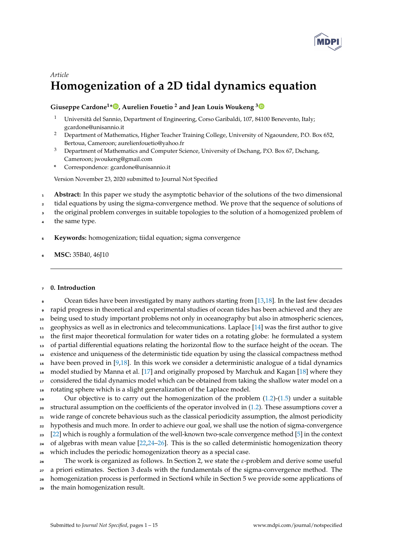

# *Article* **Homogenization of a 2D tidal dynamics equation**

# **Giuseppe Cardone<sup>1</sup> \* [,](https://orcid.org/0000-0002-5050-8908) Aurelien Fouetio <sup>2</sup> and Jean Louis Woukeng [3](https://orcid.org/0000-0002-7903-7126)**

- <sup>1</sup> Università del Sannio, Department of Engineering, Corso Garibaldi, 107, 84100 Benevento, Italy; gcardone@unisannio.it
- <sup>2</sup> Department of Mathematics, Higher Teacher Training College, University of Ngaoundere, P.O. Box 652, Bertoua, Cameroon; aurelienfouetio@yahoo.fr
- <sup>3</sup> Department of Mathematics and Computer Science, University of Dschang, P.O. Box 67, Dschang, Cameroon; jwoukeng@gmail.com
- **\*** Correspondence: gcardone@unisannio.it

Version November 23, 2020 submitted to Journal Not Specified

- <sup>1</sup> **Abstract:** In this paper we study the asymptotic behavior of the solutions of the two dimensional
- <sup>2</sup> tidal equations by using the sigma-convergence method. We prove that the sequence of solutions of
- <sup>3</sup> the original problem converges in suitable topologies to the solution of a homogenized problem of
- the same type.
- <sup>5</sup> **Keywords:** homogenization; tiidal equation; sigma convergence
- <sup>6</sup> **MSC:** 35B40, 46J10

# <sup>7</sup> **0. Introduction**

 Ocean tides have been investigated by many authors starting from [\[13,](#page-13-0)[18\]](#page-13-1). In the last few decades rapid progress in theoretical and experimental studies of ocean tides has been achieved and they are 10 being used to study important problems not only in oceanography but also in atmospheric sciences, geophysics as well as in electronics and telecommunications. Laplace [\[14\]](#page-13-2) was the first author to give the first major theoretical formulation for water tides on a rotating globe: he formulated a system of partial differential equations relating the horizontal flow to the surface height of the ocean. The existence and uniqueness of the deterministic tide equation by using the classical compactness method have been proved in [\[9](#page-13-3)[,18\]](#page-13-1). In this work we consider a deterministic analogue of a tidal dynamics model studied by Manna et al. [\[17\]](#page-13-4) and originally proposed by Marchuk and Kagan [\[18\]](#page-13-1) where they 17 considered the tidal dynamics model which can be obtained from taking the shallow water model on a rotating sphere which is a slight generalization of the Laplace model. Our objective is to carry out the homogenization of the problem  $(1.2)$ - $(1.5)$  under a suitable structural assumption on the coefficients of the operator involved in [\(1.2\)](#page-1-0). These assumptions cover a <sup>21</sup> wide range of concrete behavious such as the classical periodicity assumption, the almost periodicity

<sup>22</sup> hypothesis and much more. In order to achieve our goal, we shall use the notion of sigma-convergence 23 [\[22\]](#page-13-5) which is roughly a formulation of the well-known two-scale convergence method  $[5]$  in the context

- $24$  of algebras with mean value [\[22](#page-13-5)[,24](#page-13-7)[–26\]](#page-13-8). This is the so called deterministic homogenization theory
- <sup>25</sup> which includes the periodic homogenization theory as a special case.

<sup>26</sup> The work is organized as follows. In Section 2, we state the *ε*-problem and derive some useful

<sub>27</sub> a priori estimates. Section 3 deals with the fundamentals of the sigma-convergence method. The

<sup>28</sup> homogenization process is performed in Section4 while in Section 5 we provide some applications of

<sup>29</sup> the main homogenization result.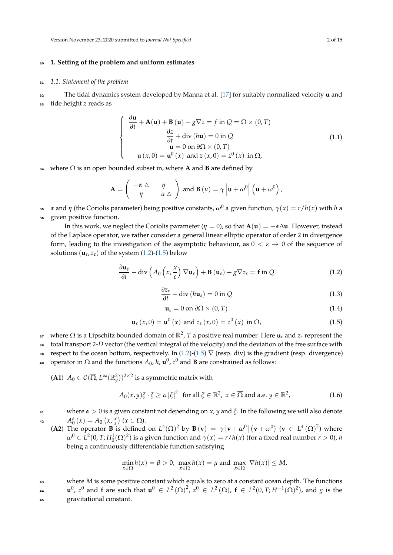# <sup>30</sup> **1. Setting of the problem and uniform estimates**

#### <sup>31</sup> *1.1. Statement of the problem*

<sup>32</sup> The tidal dynamics system developed by Manna et al. [\[17\]](#page-13-4) for suitably normalized velocity **u** and <sup>33</sup> tide height *z* reads as

$$
\begin{cases}\n\frac{\partial \mathbf{u}}{\partial t} + \mathbf{A}(\mathbf{u}) + \mathbf{B}(\mathbf{u}) + g \nabla z = f \text{ in } Q = \Omega \times (0, T) \\
\frac{\partial z}{\partial t} + \text{div}(\hbar \mathbf{u}) = 0 \text{ in } Q \\
\mathbf{u} = 0 \text{ on } \partial \Omega \times (0, T) \\
\mathbf{u}(x, 0) = \mathbf{u}^{0}(x) \text{ and } z(x, 0) = z^{0}(x) \text{ in } \Omega,\n\end{cases}
$$
\n(1.1)

<sup>34</sup> where Ω is an open bounded subset in, where **A** and **B** are defined by

$$
\mathbf{A} = \begin{pmatrix} -\alpha \ \Delta & \eta \\ \eta & -\alpha \ \Delta \end{pmatrix} \text{ and } \mathbf{B}(u) = \gamma \left| \mathbf{u} + \omega^0 \right| \left( \mathbf{u} + \omega^0 \right),
$$

*α* and *η* (the Coriolis parameter) being positive constants, *ω*<sup>0</sup> <sup>35</sup> a given function, *γ*(*x*) = *r*/*h*(*x*) with *h* a <sup>36</sup> given positive function.

In this work, we neglect the Coriolis parameter ( $\eta = 0$ ), so that  $\mathbf{A}(\mathbf{u}) = -\alpha \Delta \mathbf{u}$ . However, instead of the Laplace operator, we rather consider a general linear elliptic operator of order 2 in divergence form, leading to the investigation of the asymptotic behaviour, as  $0 < \varepsilon \to 0$  of the sequence of solutions  $(\mathbf{u}_{\varepsilon}, z_{\varepsilon})$  of the system [\(1.2\)](#page-1-0)-[\(1.5\)](#page-1-1) below

<span id="page-1-0"></span>
$$
\frac{\partial \mathbf{u}_{\varepsilon}}{\partial t} - \text{div}\left(A_0\left(x, \frac{x}{\varepsilon}\right) \nabla \mathbf{u}_{\varepsilon}\right) + \mathbf{B}\left(\mathbf{u}_{\varepsilon}\right) + g \nabla z_{\varepsilon} = \mathbf{f} \text{ in } Q \tag{1.2}
$$

<span id="page-1-4"></span>
$$
\frac{\partial z_{\varepsilon}}{\partial t} + \text{div}\left(h\mathbf{u}_{\varepsilon}\right) = 0 \text{ in } Q \tag{1.3}
$$

<span id="page-1-2"></span>
$$
\mathbf{u}_{\varepsilon} = 0 \text{ on } \partial \Omega \times (0, T) \tag{1.4}
$$

<span id="page-1-1"></span>
$$
\mathbf{u}_{\varepsilon}(x,0) = \mathbf{u}^{0}(x) \text{ and } z_{\varepsilon}(x,0) = z^{0}(x) \text{ in } \Omega,
$$
\n(1.5)

- 37 where Ω is a Lipschitz bounded domain of  $\mathbb{R}^2$ , T a positive real number. Here  $\bf{u}_\varepsilon$  and  $z_\varepsilon$  represent the
- <sup>38</sup> total transport 2-*D* vector (the vertical integral of the velocity) and the deviation of the free surface with

39 respect to the ocean bottom, respectively. In [\(1.2\)](#page-1-0)-[\(1.5\)](#page-1-1)  $\nabla$  (resp. div) is the gradient (resp. divergence) <sup>40</sup> operator in Ω and the functions  $A_0$ , *h*, **u**<sup>0</sup>, *z*<sup>0</sup> and **B** are constrained as follows:

(**A1**)  $A_0 \in \mathcal{C}(\overline{\Omega}, L^\infty(\mathbb{R}^2_y))^{2 \times 2}$  is a symmetric matrix with

<span id="page-1-3"></span>
$$
A_0(x,y)\xi \cdot \xi \ge \alpha |\xi|^2 \text{ for all } \xi \in \mathbb{R}^2, x \in \overline{\Omega} \text{ and a.e. } y \in \mathbb{R}^2,
$$
 (1.6)

where  $\alpha > 0$  is a given constant not depending on *x*, *y* and *ξ*. In the following we will also denote 42  $A_0^{\varepsilon}(x) = A_0(x, \frac{x}{\varepsilon})(x \in \Omega).$ 

(A2) The operator **B** is defined on  $L^4(\Omega)^2$  by **B** (**v**) =  $\gamma |\mathbf{v} + \omega^0|$  (**v** +  $\omega^0$ ) (**v**  $\in L^4(\Omega)^2$ ) where  $\omega^0 \in L^2(0, T; H_0^1(\Omega)^2)$  is a given function and  $\gamma(x) = r/h(x)$  (for a fixed real number  $r > 0$ ), *h* being a continuously differentiable function satisfying

$$
\min_{x \in \Omega} h(x) = \beta > 0, \ \max_{x \in \Omega} h(x) = \mu \text{ and } \max_{x \in \Omega} |\nabla h(x)| \le M,
$$

<sup>43</sup> where *M* is some positive constant which equals to zero at a constant ocean depth. The functions **u**<sup>0</sup>,  $z^0$  and **f** are such that  $\mathbf{u}^0 \in L^2(\Omega)^2$ ,  $z^0 \in L^2(\Omega)$ ,  $\mathbf{f} \in L^2(0,T;H^{-1}(\Omega)^2)$ , and  $g$  is the <sup>45</sup> gravitational constant.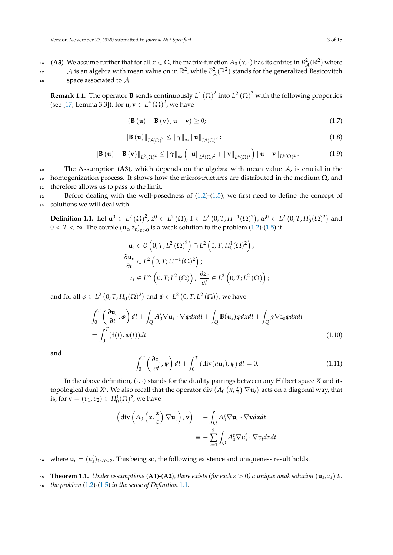**(A3)** We assume further that for all  $x \in \overline{\Omega}$ , the matrix-function  $A_0(x, \cdot)$  has its entries in  $B^2_{\mathcal{A}}(\mathbb{R}^2)$  where 47 A is an algebra with mean value on in  $\R^2$ , while  $B^2_{\mathcal A}(\R^2)$  stands for the generalized Besicovitch space associated to  $A$ .

**Remark 1.1.** The operator **B** sends continuously  $L^4(\Omega)^2$  into  $L^2(\Omega)^2$  with the following properties (see [\[17,](#page-13-4) Lemma 3.3]): for  $\mathbf{u}, \mathbf{v} \in L^4\left(\Omega\right)^2$ , we have

<span id="page-2-1"></span>
$$
\left(\mathbf{B}\left(\mathbf{u}\right)-\mathbf{B}\left(\mathbf{v}\right),\mathbf{u}-\mathbf{v}\right)\geq0;\tag{1.7}
$$

$$
\|\mathbf{B}(\mathbf{u})\|_{L^{2}(\Omega)^{2}} \leq \|\gamma\|_{\infty} \|\mathbf{u}\|_{L^{4}(\Omega)^{2}} ;
$$
\n(1.8)

$$
\|\mathbf{B}(\mathbf{u})-\mathbf{B}(\mathbf{v})\|_{L^{2}(\Omega)^{2}} \leq \|\gamma\|_{\infty} \left( \|\mathbf{u}\|_{L^{4}(\Omega)^{2}} + \|\mathbf{v}\|_{L^{4}(\Omega)^{2}} \right) \|\mathbf{u}-\mathbf{v}\|_{L^{4}(\Omega)^{2}}.
$$
 (1.9)

49 The Assumption  $(A3)$ , which depends on the algebra with mean value  $A$ , is crucial in the  $50$  homogenization process. It shows how the microstructures are distributed in the medium  $Ω$ , and <sup>51</sup> therefore allows us to pass to the limit.

 $52$  Before dealing with the well-posedness of  $(1.2)$ - $(1.5)$ , we first need to define the concept of <sup>53</sup> solutions we will deal with.

<span id="page-2-0"></span>**Definition 1.1.** Let  $\mathbf{u}^0 \in L^2(\Omega)^2$ ,  $z^0 \in L^2(\Omega)$ ,  $\mathbf{f} \in L^2(0,T;H^{-1}(\Omega)^2)$ ,  $\omega^0 \in L^2(0,T;H^1_0(\Omega)^2)$  and  $0 < T < \infty$ . The couple  $(\mathbf{u}_{\varepsilon}, z_{\varepsilon})_{\varepsilon > 0}$  is a weak solution to the problem [\(1.2\)](#page-1-0)-[\(1.5\)](#page-1-1) if

$$
\mathbf{u}_{\varepsilon} \in C\left(0, T; L^{2}(\Omega)^{2}\right) \cap L^{2}\left(0, T; H_{0}^{1}(\Omega)^{2}\right);
$$
  
\n
$$
\frac{\partial \mathbf{u}_{\varepsilon}}{\partial t} \in L^{2}\left(0, T; H^{-1}(\Omega)^{2}\right);
$$
  
\n
$$
z_{\varepsilon} \in L^{\infty}\left(0, T; L^{2}(\Omega)\right), \frac{\partial z_{\varepsilon}}{\partial t} \in L^{2}\left(0, T; L^{2}(\Omega)\right);
$$

and for all  $\varphi \in L^2(0,T;H^1_0(\Omega)^2)$  and  $\psi \in L^2(0,T;L^2(\Omega))$ , we have

$$
\int_0^T \left( \frac{\partial \mathbf{u}_{\varepsilon}}{\partial t}, \varphi \right) dt + \int_Q A_0^{\varepsilon} \nabla \mathbf{u}_{\varepsilon} \cdot \nabla \varphi dx dt + \int_Q \mathbf{B}(\mathbf{u}_{\varepsilon}) \varphi dx dt + \int_Q g \nabla z_{\varepsilon} \varphi dx dt
$$
\n
$$
= \int_0^T (\mathbf{f}(t), \varphi(t)) dt \tag{1.10}
$$

and

<span id="page-2-2"></span>
$$
\int_0^T \left( \frac{\partial z_\varepsilon}{\partial t}, \psi \right) dt + \int_0^T \left( \mathrm{div}(h \mathbf{u}_\varepsilon), \psi \right) dt = 0. \tag{1.11}
$$

In the above definition,  $(\cdot, \cdot)$  stands for the duality pairings between any Hilbert space *X* and its topological dual X'. We also recall that the operator div  $(A_0)(x, \frac{x}{\varepsilon})$  $\left(\frac{x}{\varepsilon}\right) \nabla \mathbf{u}_{\varepsilon}$  acts on a diagonal way, that is, for  $\mathbf{v} = (v_1, v_2) \in H_0^1(\Omega)^2$ , we have

$$
\begin{aligned} \left(\text{div}\left(A_0\left(x,\frac{x}{\varepsilon}\right)\nabla\mathbf{u}_{\varepsilon}\right), \mathbf{v}\right) &= -\int_Q A_0^{\varepsilon} \nabla\mathbf{u}_{\varepsilon} \cdot \nabla\mathbf{v} dx dt \\ &\equiv -\sum_{i=1}^2 \int_Q A_0^{\varepsilon} \nabla u_{\varepsilon}^i \cdot \nabla v_i dx dt \end{aligned}
$$

<sup>54</sup> where  $\mathbf{u}_{\varepsilon} = (u_{\varepsilon}^i)_{1 \leq i \leq 2}$ . This being so, the following existence and uniqueness result holds.

**55 Theorem 1.1.** *Under assumptions* (**A1**)-(**A2**)*, there exists* (for each  $\varepsilon > 0$ ) *a unique weak solution* ( $\mathbf{u}_{\varepsilon}$ ,  $z_{\varepsilon}$ ) *to* 

<sup>56</sup> *the problem* [\(1.2\)](#page-1-0)-[\(1.5\)](#page-1-1) *in the sense of Definition* [1.1](#page-2-0)*.*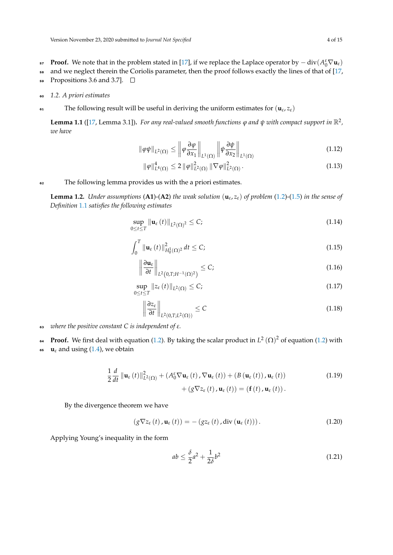- **Proof.** We note that in the problem stated in [\[17\]](#page-13-4), if we replace the Laplace operator by  $-\text{div}(A_0^{\varepsilon} \nabla \mathbf{u}_{\varepsilon})$
- <sup>58</sup> and we neglect therein the Coriolis parameter, then the proof follows exactly the lines of that of [\[17,](#page-13-4) 59 Propositions 3.6 and 3.7].  $\Box$
- <sup>60</sup> *1.2. A priori estimates*
- Fig. The following result will be useful in deriving the uniform estimates for  $(\mathbf{u}_{\varepsilon}, z_{\varepsilon})$

<span id="page-3-4"></span>**Lemma 1.1** ([\[17,](#page-13-4) Lemma 3.1]). For any real-valued smooth functions  $\varphi$  and  $\psi$  with compact support in  $\mathbb{R}^2$ , *we have*

$$
\|\varphi\psi\|_{L^{2}(\Omega)} \le \left\|\varphi\frac{\partial\varphi}{\partial x_{1}}\right\|_{L^{1}(\Omega)} \left\|\psi\frac{\partial\psi}{\partial x_{2}}\right\|_{L^{1}(\Omega)} \tag{1.12}
$$

<span id="page-3-3"></span>
$$
\|\varphi\|_{L^{4}(\Omega)}^{4} \le 2 \|\varphi\|_{L^{2}(\Omega)}^{2} \|\nabla\varphi\|_{L^{2}(\Omega)}^{2}.
$$
\n(1.13)

<sup>62</sup> The following lemma provides us with the a priori estimates.

<span id="page-3-5"></span>**Lemma 1.2.** *Under assumptions* (**A1**)-(**A2**) *the weak solution*  $(\mathbf{u}_{\varepsilon}, z_{\varepsilon})$  *of problem* [\(1.2\)](#page-1-0)-[\(1.5\)](#page-1-1) *in the sense of Definition* [1.1](#page-2-0) *satisfies the following estimates*

<span id="page-3-6"></span>
$$
\sup_{0\leq t\leq T} \left\| \mathbf{u}_{\varepsilon}\left(t\right) \right\|_{L^{2}(\Omega)^{2}} \leq C;
$$
\n(1.14)

$$
\int_0^T \|\mathbf{u}_{\varepsilon}(t)\|_{H_0^1(\Omega)^2}^2 dt \le C;\tag{1.15}
$$

$$
\left\|\frac{\partial \mathbf{u}_{\varepsilon}}{\partial t}\right\|_{L^2(0,T;H^{-1}(\Omega))^2} \leq C;\tag{1.16}
$$

$$
\sup_{0\leq t\leq T} \|z_{\varepsilon}(t)\|_{L^{2}(\Omega)} \leq C;
$$
\n(1.17)

<span id="page-3-7"></span>
$$
\left\|\frac{\partial z_{\varepsilon}}{\partial t}\right\|_{L^2(0,T;L^2(\Omega))} \le C \tag{1.18}
$$

- <sup>63</sup> *where the positive constant C is independent of ε.*
- **Proof.** We first deal with equation [\(1.2\)](#page-1-0). By taking the scalar product in  $L^2(\Omega)^2$  of equation (1.2) with
- $\mathbf{u}_{\varepsilon}$  and using [\(1.4\)](#page-1-2), we obtain

$$
\frac{1}{2}\frac{d}{dt}\left\|\mathbf{u}_{\varepsilon}\left(t\right)\right\|_{L^{2}\left(\Omega\right)}^{2}+\left(A_{0}^{\varepsilon}\nabla\mathbf{u}_{\varepsilon}\left(t\right),\nabla\mathbf{u}_{\varepsilon}\left(t\right)\right)+\left(B\left(\mathbf{u}_{\varepsilon}\left(t\right)\right),\mathbf{u}_{\varepsilon}\left(t\right)\right)\\+\left(g\nabla z_{\varepsilon}\left(t\right),\mathbf{u}_{\varepsilon}\left(t\right)\right)=\left(\mathbf{f}\left(t\right),\mathbf{u}_{\varepsilon}\left(t\right)\right).
$$
\n(1.19)

By the divergence theorem we have

<span id="page-3-0"></span>
$$
\left(g\nabla z_{\varepsilon}\left(t\right),\mathbf{u}_{\varepsilon}\left(t\right)\right)=-\left(gz_{\varepsilon}\left(t\right),\operatorname{div}\left(\mathbf{u}_{\varepsilon}\left(t\right)\right)\right).
$$
\n(1.20)

Applying Young's inequality in the form

<span id="page-3-2"></span><span id="page-3-1"></span>
$$
ab \le \frac{\delta}{2}a^2 + \frac{1}{2\delta}b^2\tag{1.21}
$$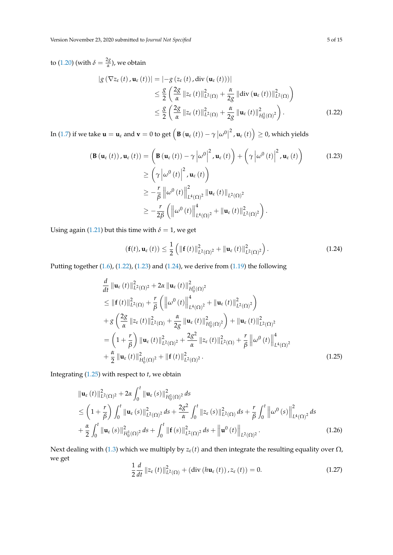to [\(1.20\)](#page-3-0) (with  $\delta = \frac{2g}{\alpha}$ *α* ), we obtain

<span id="page-4-0"></span>
$$
\begin{split} \left| g\left(\nabla z_{\varepsilon}\left(t\right), \mathbf{u}_{\varepsilon}\left(t\right)\right) \right| &= \left| -g\left(z_{\varepsilon}\left(t\right), \operatorname{div}\left(\mathbf{u}_{\varepsilon}\left(t\right)\right) \right) \right| \\ &\leq \frac{g}{2} \left( \frac{2g}{\alpha} \left\| z_{\varepsilon}\left(t\right) \right\|_{L^{2}(\Omega)}^{2} + \frac{\alpha}{2g} \left\| \operatorname{div}\left(\mathbf{u}_{\varepsilon}\left(t\right)\right) \right\|_{L^{2}(\Omega)}^{2} \right) \\ &\leq \frac{g}{2} \left( \frac{2g}{\alpha} \left\| z_{\varepsilon}\left(t\right) \right\|_{L^{2}(\Omega)}^{2} + \frac{\alpha}{2g} \left\| \mathbf{u}_{\varepsilon}\left(t\right) \right\|_{H_{0}^{1}(\Omega)^{2}}^{2} \right). \end{split} \tag{1.22}
$$

In [\(1.7\)](#page-2-1) if we take  $\mathbf{u} = \mathbf{u}_{\varepsilon}$  and  $\mathbf{v} = 0$  to get  $\left( \mathbf{B} \left( \mathbf{u}_{\varepsilon} (t) \right) - \gamma \left| \omega^0 \right| \right)$  $\left( \mathbf{u}_{\varepsilon}\left( t\right) \right) \geq 0$ , which yields

$$
\begin{split}\n\left(\mathbf{B}\left(\mathbf{u}_{\varepsilon}\left(t\right)\right),\mathbf{u}_{\varepsilon}\left(t\right)\right) &= \left(\mathbf{B}\left(\mathbf{u}_{\varepsilon}\left(t\right)\right) - \gamma \left|\omega^{0}\right|^{2},\mathbf{u}_{\varepsilon}\left(t\right)\right) + \left(\gamma \left|\omega^{0}\left(t\right)\right|^{2},\mathbf{u}_{\varepsilon}\left(t\right)\right) \\
&\geq \left(\gamma \left|\omega^{0}\left(t\right)\right|^{2},\mathbf{u}_{\varepsilon}\left(t\right)\right) \\
&\geq -\frac{r}{\beta} \left\|\omega^{0}\left(t\right)\right\|_{L^{4}(\Omega)^{2}}^{2} \left\|\mathbf{u}_{\varepsilon}\left(t\right)\right\|_{L^{2}(\Omega)^{2}} \\
&\geq -\frac{r}{2\beta} \left(\left\|\omega^{0}\left(t\right)\right\|_{L^{4}(\Omega)^{2}}^{4} + \left\|\mathbf{u}_{\varepsilon}\left(t\right)\right\|_{L^{2}(\Omega)^{2}}^{2}\right).\n\end{split}
$$
\n(1.23)

Using again [\(1.21\)](#page-3-1) but this time with  $\delta = 1$ , we get

<span id="page-4-2"></span><span id="page-4-1"></span>
$$
\left(\mathbf{f}(t),\mathbf{u}_{\varepsilon}\left(t\right)\right)\leq\frac{1}{2}\left(\left\Vert \mathbf{f}\left(t\right)\right\Vert _{L^{2}\left(\Omega\right)^{2}}^{2}+\left\Vert \mathbf{u}_{\varepsilon}\left(t\right)\right\Vert _{L^{2}\left(\Omega\right)^{2}}^{2}\right).
$$
\n(1.24)

Putting together [\(1.6\)](#page-1-3), [\(1.22\)](#page-4-0), [\(1.23\)](#page-4-1) and [\(1.24\)](#page-4-2), we derive from [\(1.19\)](#page-3-2) the following

$$
\frac{d}{dt} \|\mathbf{u}_{\varepsilon}(t)\|_{L^{2}(\Omega)^{2}}^{2} + 2\alpha \|\mathbf{u}_{\varepsilon}(t)\|_{H_{0}^{1}(\Omega)^{2}}^{2} \n\leq \|\mathbf{f}(t)\|_{L^{2}(\Omega)}^{2} + \frac{r}{\beta} \left( \left\|\omega^{0}(t)\right\|_{L^{4}(\Omega)^{2}}^{4} + \|\mathbf{u}_{\varepsilon}(t)\|_{L^{2}(\Omega)^{2}}^{2} \right) \n+ g \left( \frac{2g}{\alpha} \|z_{\varepsilon}(t)\|_{L^{2}(\Omega)}^{2} + \frac{\alpha}{2g} \|\mathbf{u}_{\varepsilon}(t)\|_{H_{0}^{1}(\Omega)^{2}}^{2} \right) + \|\mathbf{u}_{\varepsilon}(t)\|_{L^{2}(\Omega)^{2}}^{2} \n= \left(1 + \frac{r}{\beta}\right) \|\mathbf{u}_{\varepsilon}(t)\|_{L^{2}(\Omega)^{2}}^{2} + \frac{2g^{2}}{\alpha} \|z_{\varepsilon}(t)\|_{L^{2}(\Omega)}^{2} + \frac{r}{\beta} \left\|\omega^{0}(t)\right\|_{L^{4}(\Omega)^{2}}^{4} \n+ \frac{\alpha}{2} \|\mathbf{u}_{\varepsilon}(t)\|_{H_{0}^{1}(\Omega)^{2}}^{2} + \|\mathbf{f}(t)\|_{L^{2}(\Omega)^{2}}^{2}.
$$
\n(1.25)

Integrating [\(1.25\)](#page-4-3) with respect to *t*, we obtain

$$
\|\mathbf{u}_{\varepsilon}(t)\|_{L^{2}(\Omega)^{2}}^{2}+2\alpha\int_{0}^{t}\|\mathbf{u}_{\varepsilon}(s)\|_{H_{0}^{1}(\Omega)^{2}}^{2}ds
$$
\n
$$
\leq\left(1+\frac{r}{\beta}\right)\int_{0}^{t}\|\mathbf{u}_{\varepsilon}(s)\|_{L^{2}(\Omega)^{2}}^{2}ds+\frac{2g^{2}}{\alpha}\int_{0}^{t}\|z_{\varepsilon}(s)\|_{L^{2}(\Omega)}^{2}ds+\frac{r}{\beta}\int_{0}^{t}\left\|\omega^{0}(s)\right\|_{L^{4}(\Omega)^{2}}^{2}ds
$$
\n
$$
+\frac{\alpha}{2}\int_{0}^{t}\|\mathbf{u}_{\varepsilon}(s)\|_{H_{0}^{1}(\Omega)^{2}}^{2}ds+\int_{0}^{t}\|\mathbf{f}(s)\|_{L^{2}(\Omega)^{2}}^{2}ds+\left\|\mathbf{u}^{0}(t)\right\|_{L^{2}(\Omega)^{2}}.
$$
\n(1.26)

Next dealing with [\(1.3\)](#page-1-4) which we multiply by  $z_{\varepsilon}(t)$  and then integrate the resulting equality over  $\Omega$ , we get

<span id="page-4-5"></span><span id="page-4-4"></span><span id="page-4-3"></span>
$$
\frac{1}{2}\frac{d}{dt}\left\|z_{\varepsilon}(t)\right\|_{L^{2}(\Omega)}^{2} + \left(\operatorname{div}\left(h\mathbf{u}_{\varepsilon}(t)\right), z_{\varepsilon}(t)\right) = 0. \tag{1.27}
$$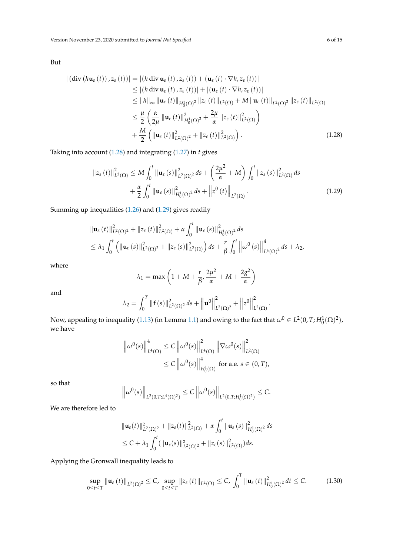But

$$
\begin{split}\n\left| \left( \text{div} \left( h \mathbf{u}_{\varepsilon} \left( t \right) \right), z_{\varepsilon} \left( t \right) \right) \right| &= \left| \left( h \, \text{div} \, \mathbf{u}_{\varepsilon} \left( t \right), z_{\varepsilon} \left( t \right) \right) + \left( \mathbf{u}_{\varepsilon} \left( t \right) \cdot \nabla h, z_{\varepsilon} \left( t \right) \right) \right| \\
&\leq \left| \left( h \, \text{div} \, \mathbf{u}_{\varepsilon} \left( t \right), z_{\varepsilon} \left( t \right) \right) \right| + \left| \left( \mathbf{u}_{\varepsilon} \left( t \right) \cdot \nabla h, z_{\varepsilon} \left( t \right) \right) \right| \\
&\leq \left\| h \right\|_{\infty} \left\| \mathbf{u}_{\varepsilon} \left( t \right) \right\|_{H_0^1(\Omega)}^2 \left\| z_{\varepsilon} \left( t \right) \right\|_{L^2(\Omega)} + M \left\| \mathbf{u}_{\varepsilon} \left( t \right) \right\|_{L^2(\Omega)}^2 \left\| z_{\varepsilon} \left( t \right) \right\|_{L^2(\Omega)} \\
&\leq \frac{\mu}{2} \left( \frac{\alpha}{2\mu} \left\| \mathbf{u}_{\varepsilon} \left( t \right) \right\|_{H_0^1(\Omega)}^2 + \frac{2\mu}{\alpha} \left\| z_{\varepsilon} \left( t \right) \right\|_{L^2(\Omega)}^2 \right) \\
&\quad + \frac{M}{2} \left( \left\| \mathbf{u}_{\varepsilon} \left( t \right) \right\|_{L^2(\Omega)}^2 + \left\| z_{\varepsilon} \left( t \right) \right\|_{L^2(\Omega)}^2 \right). \n\end{split} \tag{1.28}
$$

Taking into account [\(1.28\)](#page-5-0) and integrating [\(1.27\)](#page-4-4) in *t* gives

$$
||z_{\varepsilon}(t)||_{L^{2}(\Omega)}^{2} \leq M \int_{0}^{t} ||\mathbf{u}_{\varepsilon}(s)||_{L^{2}(\Omega)^{2}}^{2} ds + \left(\frac{2\mu^{2}}{\alpha} + M\right) \int_{0}^{t} ||z_{\varepsilon}(s)||_{L^{2}(\Omega)}^{2} ds + \frac{\alpha}{2} \int_{0}^{t} ||\mathbf{u}_{\varepsilon}(s)||_{H_{0}^{1}(\Omega)^{2}}^{2} ds + ||z^{0}(t)||_{L^{2}(\Omega)}.
$$
\n(1.29)

Summing up inequalities [\(1.26\)](#page-4-5) and [\(1.29\)](#page-5-1) gives readily

$$
\|\mathbf{u}_{\varepsilon}(t)\|_{L^{2}(\Omega)^{2}}^{2} + \|z_{\varepsilon}(t)\|_{L^{2}(\Omega)}^{2} + \alpha \int_{0}^{t} \|\mathbf{u}_{\varepsilon}(s)\|_{H_{0}^{1}(\Omega)^{2}}^{2} ds
$$
  
\n
$$
\leq \lambda_{1} \int_{0}^{t} \left( \|\mathbf{u}_{\varepsilon}(s)\|_{L^{2}(\Omega)^{2}}^{2} + \|z_{\varepsilon}(s)\|_{L^{2}(\Omega)}^{2} \right) ds + \frac{r}{\beta} \int_{0}^{t} \left\|\omega^{0}(s)\right\|_{L^{4}(\Omega)^{2}}^{4} ds + \lambda_{2},
$$

where

$$
\lambda_1 = \max\left(1 + M + \frac{r}{\beta}, \frac{2\mu^2}{\alpha} + M + \frac{2g^2}{\alpha}\right)
$$

and

$$
\lambda_2 = \int_0^T \|\mathbf{f}(s)\|_{L^2(\Omega)^2}^2 ds + \left\|\mathbf{u}^0\right\|_{L^2(\Omega)^2}^2 + \left\|z^0\right\|_{L^2(\Omega)}^2
$$

<span id="page-5-1"></span><span id="page-5-0"></span>.

Now, appealing to inequality [\(1.13\)](#page-3-3) (in Lemma [1.1\)](#page-3-4) and owing to the fact that  $\omega^0 \in L^2(0,T;H^1_0(\Omega)^2)$ , we have

$$
\|\omega^{0}(s)\|_{L^{4}(\Omega)}^{4} \leq C \left\|\omega^{0}(s)\right\|_{L^{4}(\Omega)}^{2} \left\|\nabla\omega^{0}(s)\right\|_{L^{2}(\Omega)}^{2}
$$

$$
\leq C \left\|\omega^{0}(s)\right\|_{H_{0}^{1}(\Omega)}^{4} \text{ for a.e. } s \in (0, T),
$$

so that

$$
\left\|\omega^{0}(s)\right\|_{L^{2}(0,T;L^{4}(\Omega)^{2})} \leq C\left\|\omega^{0}(s)\right\|_{L^{2}(0,T;H^{1}_{0}(\Omega)^{2})} \leq C.
$$

We are therefore led to

$$
\|\mathbf{u}_{\varepsilon}(t)\|_{L^{2}(\Omega)^{2}}^{2} + \|z_{\varepsilon}(t)\|_{L^{2}(\Omega)}^{2} + \alpha \int_{0}^{t} \|\mathbf{u}_{\varepsilon}(s)\|_{H_{0}^{1}(\Omega)^{2}}^{2} ds
$$
  

$$
\leq C + \lambda_{1} \int_{0}^{t} (\|\mathbf{u}_{\varepsilon}(s)\|_{L^{2}(\Omega)^{2}}^{2} + \|z_{\varepsilon}(s)\|_{L^{2}(\Omega)}^{2}) ds.
$$

Applying the Gronwall inequality leads to

<span id="page-5-2"></span>
$$
\sup_{0\leq t\leq T} \left\|\mathbf{u}_{\varepsilon}\left(t\right)\right\|_{L^{2}(\Omega)^{2}} \leq C, \sup_{0\leq t\leq T} \left\|z_{\varepsilon}\left(t\right)\right\|_{L^{2}(\Omega)} \leq C, \int_{0}^{T} \left\|\mathbf{u}_{\varepsilon}\left(t\right)\right\|_{H_{0}^{1}(\Omega)^{2}}^{2} dt \leq C.
$$
 (1.30)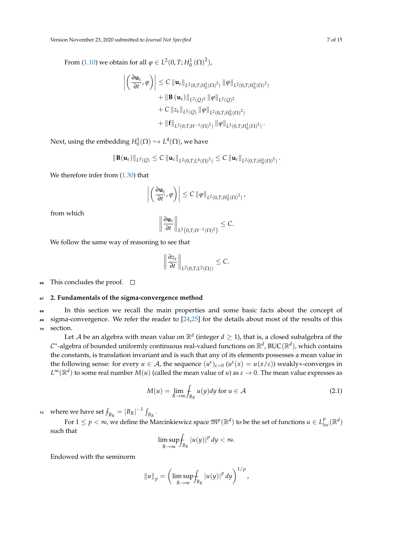From [\(1.10\)](#page-2-2) we obtain for all  $\varphi \in L^2(0, T; H^1_0(\Omega)^2)$ ,

$$
\left| \left( \frac{\partial \mathbf{u}_{\varepsilon}}{\partial t}, \varphi \right) \right| \leq C \left\| \mathbf{u}_{\varepsilon} \right\|_{L^{2}(0,T;H_{0}^{1}(\Omega)^{2})} \left\| \varphi \right\|_{L^{2}(0,T;H_{0}^{1}(\Omega)^{2})} \n+ \left\| \mathbf{B} \left( \mathbf{u}_{\varepsilon} \right) \right\|_{L^{2}(Q)^{2}} \left\| \varphi \right\|_{L^{2}(Q)^{2}} \n+ C \left\| z_{\varepsilon} \right\|_{L^{2}(Q)} \left\| \varphi \right\|_{L^{2}(0,T;H_{0}^{1}(\Omega)^{2})} \n+ \left\| \mathbf{f} \right\|_{L^{2}(0,T;H^{-1}(\Omega)^{2})} \left\| \varphi \right\|_{L^{2}(0,T;H_{0}^{1}(\Omega)^{2})}.
$$

Next, using the embedding  $H_0^1(\Omega) \hookrightarrow L^4(\Omega)$ , we have

$$
\|\mathbf{B}(\mathbf{u}_{\varepsilon})\|_{L^2(Q)} \leq C \left\|\mathbf{u}_{\varepsilon}\right\|_{L^2(0,T;L^4(\Omega)^2)} \leq C \left\|\mathbf{u}_{\varepsilon}\right\|_{L^2(0,T;H^1_0(\Omega)^2)}.
$$

We therefore infer from  $(1.30)$  that

$$
\left| \left( \frac{\partial \mathbf{u}_{\varepsilon}}{\partial t}, \varphi \right) \right| \leq C \left\| \varphi \right\|_{L^2(0,T;H^1_0(\Omega)^2)},
$$

from which

$$
\left\|\frac{\partial \mathbf{u}_{\varepsilon}}{\partial t}\right\|_{L^2\left(0,T;H^{-1}(\Omega)^2\right)} \leq C.
$$

We follow the same way of reasoning to see that

$$
\left\|\frac{\partial z_{\varepsilon}}{\partial t}\right\|_{L^2(0,T;L^2(\Omega))}\leq C.
$$

66 This concludes the proof.  $\Box$ 

# <sup>67</sup> **2. Fundamentals of the sigma-convergence method**

<sup>68</sup> In this section we recall the main properties and some basic facts about the concept of  $\epsilon_9$  sigma-convergence. We refer the reader to  $[24,25]$  $[24,25]$  for the details about most of the results of this <sup>70</sup> section.

Let  ${\cal A}$  be an algebra with mean value on  $\mathbb{R}^d$  (integer  $d\geq 1$ ), that is, a closed subalgebra of the  $\mathcal{C}^\ast$ -algebra of bounded uniformly continuous real-valued functions on  $\mathbb{R}^d$ , BUC $(\mathbb{R}^d)$ , which contains the constants, is translation invariant and is such that any of its elements possesses a mean value in the following sense: for every  $u \in A$ , the sequence  $(u^{\varepsilon})_{\varepsilon > 0}$   $(u^{\varepsilon}(x) = u(x/\varepsilon))$  weakly\*-converges in  $L^\infty(\R^d)$  to some real number  $M(u)$  (called the mean value of *u*) as  $\varepsilon\to 0.$  The mean value expresses as

$$
M(u) = \lim_{R \to \infty} \int_{B_R} u(y) dy \text{ for } u \in \mathcal{A}
$$
 (2.1)

*r*<sub>1</sub> where we have set  $f_{B_R} = |B_R|^{-1} \int_{B_R}$ .

For  $1 \leq p < \infty$ , we define the Marcinkiewicz space  $\mathfrak{M}^p(\mathbb{R}^d)$  to be the set of functions  $u \in L^p_{loc}(\mathbb{R}^d)$ such that

$$
\limsup_{R\to\infty}\int_{B_R}|u(y)|^p dy < \infty.
$$

Endowed with the seminorm

$$
||u||_p = \left(\limsup_{R\to\infty} \int_{B_R} |u(y)|^p dy\right)^{1/p},
$$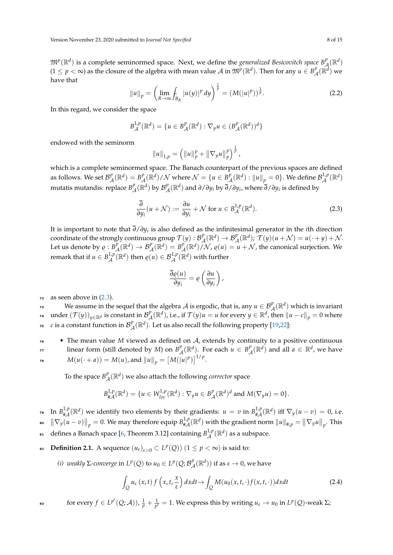$\mathfrak{M}^p(\mathbb{R}^d)$  is a complete seminormed space. Next, we define the *generalized Besicovitch space*  $B^p_{\mathcal{A}}$  $\frac{p}{\mathcal{A}}(\mathbb{R}^d)$  $(1 \leq p < \infty)$  as the closure of the algebra with mean value  $\mathcal A$  in  $\mathfrak{M}^p(\mathbb R^d)$ . Then for any  $u \in B^p$  $L^p_{\mathcal{A}}(\mathbb{R}^d)$  we have that

$$
||u||_p = \left(\lim_{R \to \infty} \int_{B_R} |u(y)|^p \, dy\right)^{\frac{1}{p}} = \left(M(|u|^p)\right)^{\frac{1}{p}}.
$$
 (2.2)

In this regard, we consider the space

$$
B_{\mathcal{A}}^{1,p}(\mathbb{R}^d) = \{ u \in B_{\mathcal{A}}^p(\mathbb{R}^d) : \nabla_y u \in (B_{\mathcal{A}}^p(\mathbb{R}^d))^d \}
$$

endowed with the seminorm

$$
||u||_{1,p} = \left(||u||_p^p + ||\nabla_y u||_p^p\right)^{\frac{1}{p}},
$$

which is a complete seminormed space. The Banach counterpart of the previous spaces are defined as follows. We set  $\mathcal{B}_{\perp}^p$  $L^p_{\mathcal{A}}(\mathbb{R}^d) = B^p_{\mathcal{A}}$  $L^p_{\mathcal{A}}(\mathbb{R}^d)/\mathcal{N}$  where  $\mathcal{N} = \{u \in B^p_{\mathcal{A}}\}$  $^p_{\mathcal{A}}(\mathbb{R}^d)$  :  $\left\|u\right\|_p=0\}.$  We define  $\mathcal{B}^{1,p}_{\mathcal{A}}$  $\mathcal{A}^{1,p}(\mathbb{R}^d)$ mutatis mutandis: replace  $B^p_{\ \lambda}$  $L^p_{\mathcal{A}}(\mathbb{R}^d)$  by  $\mathcal{B}_{\mathcal{A}}^p$ A (R*<sup>d</sup>* ) and *∂*/*∂y<sup>i</sup>* by *∂*/*∂y<sup>i</sup>* , where *∂*/*∂y<sup>i</sup>* is defined by

<span id="page-7-0"></span>
$$
\frac{\overline{\partial}}{\partial y_i}(u+\mathcal{N}) := \frac{\partial u}{\partial y_i} + \mathcal{N} \text{ for } u \in B_{\mathcal{A}}^{1,p}(\mathbb{R}^d). \tag{2.3}
$$

It is important to note that *∂*/*∂y<sup>i</sup>* is also defined as the infinitesimal generator in the *i*th direction coordinate of the strongly continuous group  $\mathcal{T}(y)$  :  $\mathcal{B}_{\lambda}^{p}$  ${}_{\mathcal{A}}^{p}(\mathbb{R}^{d}) \rightarrow \mathcal{B}_{\mathcal{A}}^{p}(\mathbb{R}^{d}); \ \mathcal{T}(y)(u+\mathcal{N}) = u(\cdot+y) + \mathcal{N}.$ Let us denote by  $\rho : B^p_{\mu}$  $\mathcal{B}^p_{\mathcal{A}}(\mathbb{R}^d) \to \mathcal{B}^p_{\mathcal{A}}(\mathbb{R}^d) = B^p_{\mathcal{A}}$  $L^p_{\mathcal{A}}(\mathbb{R}^d)/\mathcal{N}$ ,  $\varrho(u) = u + \mathcal{N}$ , the canonical surjection. We remark that if  $u \in B^{1,p}_A$  $\mathcal{A}^{1,p}(\mathbb{R}^d)$  then  $\varrho(u) \in \mathcal{B}_{\mathcal{A}}^{1,p}(\mathbb{R}^d)$  with further

$$
\frac{\overline{\partial}\varrho(u)}{\partial y_i} = \varrho\left(\frac{\partial u}{\partial y_i}\right),
$$

 $72$  as seen above in  $(2.3)$ .

We assume in the sequel that the algebra A is ergodic, that is, any  $u \in \mathcal{B}_{\mathcal{A}}^p(\mathbb{R}^d)$  which is invariant under  $(\mathcal{T}(y))_{y \in \mathbb{R}^d}$  is constant in  $\mathcal{B}_{\mathcal{A}}^p$  $\mathcal{B}^{\mathcal{A}}_{\mathcal{A}}(\mathbb{R}^d)$  and  $\mathcal{B}^{\mathcal{B}}_{\mathcal{A}}(\mathbb{R}^d)$ , i.e., if  $\mathcal{T}(y)u = u$  for every  $y \in \mathbb{R}^d$ , then  $\|u - c\|_p = 0$  where *c* is a constant function in  $\mathcal{B}_{\perp}^p$ <sup>75</sup> c is a constant function in  $\mathcal{B}_{\mathcal{A}}^{p}(\mathbb{R}^{d})$ . Let us also recall the following property [\[19,](#page-13-10)[22\]](#page-13-5):

<sup>76</sup> • The mean value *M* viewed as defined on *A*, extends by continuity to a positive continuous linear form (still denoted by *M*) on  $B^p_{\lambda}$  $_{\mathcal{A}}^{p}(\mathbb{R}^{d})$ . For each  $u \in B_{\mathcal{A}}^{p}$ *A* linear form (still denoted by *M*) on  $B^p_{\mathcal{A}}(\mathbb{R}^d)$ . For each  $u \in B^p_{\mathcal{A}}(\mathbb{R}^d)$  and all  $a \in \mathbb{R}^d$ , we have *M*(*u*(· + *a*)) = *M*(*u*), and  $||u||_p = [M(|u|^p)]^{1/p}$ .

To the space  $B^p_{\mu}$  $^p_{{\cal A}}(\mathbb{R}^d)$  we also attach the following *corrector* space

$$
B_{\sharp\mathcal{A}}^{1,p}(\mathbb{R}^d) = \{ u \in W_{loc}^{1,p}(\mathbb{R}^d) : \nabla_y u \in B_{\mathcal{A}}^p(\mathbb{R}^d)^d \text{ and } M(\nabla_y u) = 0 \}.
$$

In  $B^{1,p}_{\# \, A}$  $\lim_{n \to \infty} \mu(\mathbb{R}^d)$  we identify two elements by their gradients:  $u = v$  in  $B^{1,p}_{\#A}$ <sup>1,p</sup><sub>#A</sub>( $\mathbb{R}^{d}$ ) we identify two elements by their gradients:  $u = v$  in  $B_{\#A}^{1,p}(\mathbb{R}^{d})$  iff  $\nabla_{y}(u - v) = 0$ , i.e.

 $\left\| \nabla_y(u - v) \right\|_p = 0$ . We may therefore equip  $B_{\# \mathcal{A}}^{1,p}$  $\|\nabla_y(u-v)\|_p = 0.$  We may therefore equip  $B_{\# \mathcal{A}}^{1,p}(\mathbb{R}^d)$  with the gradient norm  $\|u\|_{\#,p} = \|\nabla_y u\|_p.$  This

defines a Banach space [\[6,](#page-13-11) Theorem 3.12] containing *B* 1,*p*  $_{\bf s1}$  defines a Banach space [6, Theorem 3.12] containing  $B^{1,p}_\mathcal{A}(\mathbb{R}^d)$  as a subspace.

**Definition 2.1.** A sequence  $(u_{\varepsilon})_{\varepsilon>0} \subset L^p(Q)$   $(1 \leq p < \infty)$  is said to:

*(i) weakly*  $\Sigma$ -converge in  $L^p(Q)$  to  $u_0 \in L^p(Q; B^p)$  $L^p_{\mathcal{A}}(\mathbb{R}^d)$ ) if as  $\varepsilon \to 0$ , we have

<span id="page-7-1"></span>
$$
\int_{Q} u_{\varepsilon}(x,t) f\left(x,t,\frac{x}{\varepsilon}\right) dx dt \to \int_{Q} M(u_{0}(x,t,\cdot)f(x,t,\cdot)) dx dt \tag{2.4}
$$

$$
\text{for every } f \in L^{p'}(Q; \mathcal{A})), \frac{1}{p} + \frac{1}{p'} = 1. \text{ We express this by writing } u_{\varepsilon} \to u_0 \text{ in } L^p(Q)\text{-weak } \Sigma;
$$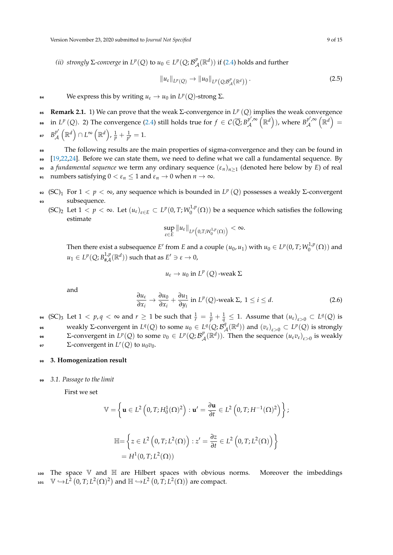*(ii) strongly* Σ-converge in  $L^p(Q)$  to  $u_0 ∈ L^p(Q; \mathcal{B}_{\mathcal{A}}^p)$  $L^p_{\mathcal{A}}(\mathbb{R}^d)$  ) if [\(2.4\)](#page-7-1) holds and further

$$
\|u_{\varepsilon}\|_{L^{p}(Q)} \to \|u_{0}\|_{L^{p}(Q;\mathcal{B}_{\mathcal{A}}^{p}(\mathbb{R}^{d}))}. \tag{2.5}
$$

**We express this by writing**  $u_{\varepsilon} \to u_0$  **in**  $L^p(Q)$ **-strong**  $\Sigma$ **.** 

**Remark 2.1.** 1) We can prove that the weak  $\Sigma$ -convergence in  $L^p(Q)$  implies the weak convergence in *L<sup>p</sup>* (*Q*). 2) The convergence [\(2.4\)](#page-7-1) still holds true for  $f \in C(\overline{Q}; B_p^{p', \infty})$  $p' \propto (\mathbb{R}^d)$ ), where  $B_{\mathcal{A}}^{p', \infty}$  $\bullet \bullet$  in  $L^p\left(Q\right)$ . 2) The convergence (2.4) still holds true for  $f\in\mathcal{C}(\overline{Q};B_{\mathcal{A}}^{p',\infty}\left({\mathbb{R}}^d\right))$ , where  $B_{\mathcal{A}}^{p',\infty}\left({\mathbb{R}}^d\right)=0$  $B^p_{\ A}$ 87  $B_\mathcal{A}^{p'}\left(\mathbb{R}^d\right) \cap L^\infty\left(\mathbb{R}^d\right)$ ,  $\frac{1}{p}+\frac{1}{p'}=1.$ 

 The following results are the main properties of sigma-convergence and they can be found in [\[19](#page-13-10)[,22](#page-13-5)[,24\]](#page-13-7). Before we can state them, we need to define what we call a fundamental sequence. By a *fundamental sequence* we term any ordinary sequence (*εn*)*n*≥<sup>1</sup> (denoted here below by *E*) of real 91 numbers satisfying  $0 < \varepsilon_n \leq 1$  and  $\varepsilon_n \to 0$  when  $n \to \infty$ .

- $\Phi$  (SC)<sub>1</sub> For 1 < *p* < ∞, any sequence which is bounded in *L<sup>p</sup>* (*Q*) possesses a weakly Σ-convergent <sup>93</sup> subsequence.
	- $(\text{SC})_2$  Let  $1 < p < \infty$ . Let  $(u_{\varepsilon})_{\varepsilon \in E} \subset L^p(0, T; W_0^{1,p})$  $\binom{1}{0}$  ( $\Omega$ )) be a sequence which satisfies the following estimate

$$
\sup_{\varepsilon\in E}\|u_\varepsilon\|_{L^p\big(0,T;W^{1,p}_0(\Omega)\big)}<\infty.
$$

Then there exist a subsequence  $E'$  from  $E$  and a couple  $(u_0, u_1)$  with  $u_0 \in L^p(0, T; W_0^{1,p})$  $\binom{1}{0}^{\prime}(\Omega)$  and  $u_1 \in L^p(Q; B^{1,p}_{\sharp\mathcal{A}})$  $_{\sharp\mathcal{A}}^{1,p}(\mathbb{R}^d)$ ) such that as  $E'\ni\varepsilon\to 0$ ,

$$
u_{\varepsilon} \to u_0
$$
 in  $L^p(Q)$ -weak  $\Sigma$ 

and

$$
\frac{\partial u_{\varepsilon}}{\partial x_i} \to \frac{\partial u_0}{\partial x_i} + \frac{\partial u_1}{\partial y_i} \text{ in } L^p(Q)\text{-weak } \Sigma, \ 1 \le i \le d. \tag{2.6}
$$

 $p$ 4 (SC) $_3$  Let  $1 < p$ ,  $q < \infty$  and  $r \geq 1$  be such that  $\frac{1}{r} = \frac{1}{p} + \frac{1}{q} \leq 1$ . Assume that  $(u_\varepsilon)_{\varepsilon > 0} \subset L^q(Q)$  is weakly Σ-convergent in  $L^q(Q)$  to some  $u_0 \in L^q(Q; \mathcal{B}^q)$ bs weakly Σ-convergent in  $L^q(Q)$  to some  $u_0 ∈ L^q(Q; \mathcal{B}_{\mathcal{A}}^q(\mathbb{R}^d))$  and  $(v_{\varepsilon})_{\varepsilon > 0} ⊂ L^p(Q)$  is strongly

Σ-convergent in  $L^p(Q)$  to some  $v_0 ∈ L^p(Q; B^p)$ **2-convergent in**  $L^p(Q)$  to some  $v_0 \in L^p(Q; \mathcal{B}_{\mathcal{A}}^p(\mathbb{R}^d))$ . Then the sequence  $(u_\varepsilon v_\varepsilon)_{\varepsilon > 0}$  is weakly **2**-convergent in  $L^r(Q)$  to  $u_0v_0$ .

- <sup>98</sup> **3. Homogenization result**
- <sup>99</sup> *3.1. Passage to the limit*

First we set

$$
\mathbb{V} = \left\{ \mathbf{u} \in L^2 \left( 0, T; H_0^1(\Omega)^2 \right) : \mathbf{u}' = \frac{\partial \mathbf{u}}{\partial t} \in L^2 \left( 0, T; H^{-1}(\Omega)^2 \right) \right\};
$$
  

$$
\mathbb{H} = \left\{ z \in L^2 \left( 0, T; L^2(\Omega) \right) : z' = \frac{\partial z}{\partial t} \in L^2 \left( 0, T; L^2(\Omega) \right) \right\}
$$
  

$$
= H^1(0, T; L^2(\Omega))
$$

The space  $V$  and  $H$  are Hilbert spaces with obvious norms. Moreover the imbeddings 101  $\mathbb{V} \hookrightarrow L^2(0,T;L^2(\Omega)^2)$  and  $\mathbb{H} \hookrightarrow L^2(0,T;L^2(\Omega))$  are compact.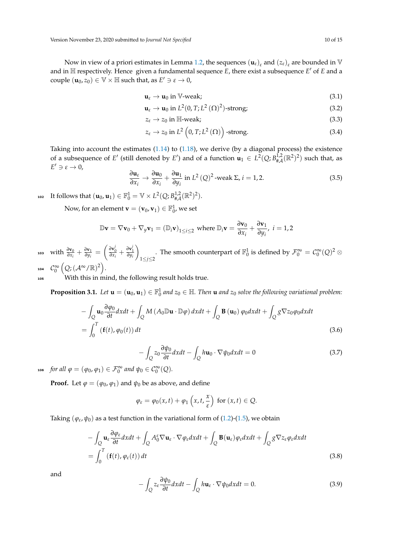Now in view of a priori estimates in Lemma [1.2,](#page-3-5) the sequences  $(\mathbf{u}_{\varepsilon})_{\varepsilon}$  and  $(z_{\varepsilon})_{\varepsilon}$  are bounded in  $\mathbb {V}$ and in  $\mathbb H$  respectively. Hence given a fundamental sequence *E*, there exist a subsequence *E'* of *E* and a couple  $(\mathbf{u}_0, z_0) \in \mathbb{V} \times \mathbb{H}$  such that, as  $E' \ni \varepsilon \to 0$ ,

$$
\mathbf{u}_{\varepsilon} \to \mathbf{u}_0 \text{ in } \mathbb{V}\text{-weak};\tag{3.1}
$$

$$
\mathbf{u}_{\varepsilon} \to \mathbf{u}_0 \text{ in } L^2(0, T; L^2(\Omega)^2)\text{-strong};
$$
\n(3.2)

<span id="page-9-5"></span><span id="page-9-4"></span><span id="page-9-2"></span>
$$
z_{\varepsilon} \to z_0 \text{ in } \mathbb{H}\text{-weak};\tag{3.3}
$$

$$
z_{\varepsilon} \to z_0 \text{ in } L^2\left(0, T; L^2\left(\Omega\right)\right) \text{-strong.} \tag{3.4}
$$

Taking into account the estimates [\(1.14\)](#page-3-6) to [\(1.18\)](#page-3-7), we derive (by a diagonal process) the existence of a subsequence of *E*<sup>'</sup> (still denoted by *E*<sup>'</sup>) and of a function  $\mathbf{u}_1 \in L^2(Q; B^{1,2}_{\#A}(\mathbb{R}^2)^2)$  such that, as  $E' \ni \varepsilon \to 0$ ,

<span id="page-9-3"></span>
$$
\frac{\partial \mathbf{u}_{\varepsilon}}{\partial x_{i}} \to \frac{\partial \mathbf{u}_{0}}{\partial x_{i}} + \frac{\partial \mathbf{u}_{1}}{\partial y_{i}} \text{ in } L^{2}(Q)^{2} \text{-weak } \Sigma, i = 1, 2. \tag{3.5}
$$

102 It follows that  $(\mathbf{u}_0, \mathbf{u}_1) \in \mathbb{F}_0^1 = \mathbb{V} \times L^2(Q; B^{1,2}_{\# \mathcal{A}}(\mathbb{R}^2)^2).$ 

Now, for an element  $\mathbf{v} = (\mathbf{v}_0, \mathbf{v}_1) \in \mathbb{F}_0^1$ , we set

$$
\mathbb{D}\mathbf{v} = \nabla \mathbf{v}_0 + \nabla_y \mathbf{v}_1 = (\mathbb{D}_i \mathbf{v})_{1 \le i \le 2} \text{ where } \mathbb{D}_i \mathbf{v} = \frac{\partial \mathbf{v}_0}{\partial x_i} + \frac{\partial \mathbf{v}_1}{\partial y_i}, \ i = 1, 2
$$

with  $\frac{\partial \mathbf{v}_0}{\partial x_i} + \frac{\partial \mathbf{v}_1}{\partial y_i}$  $\frac{\partial \mathbf{v}_1}{\partial y_i} = \left( \frac{\partial \mathbf{v}_0^j}{\partial x_i} + \frac{\partial \mathbf{v}_1^j}{\partial y_i} \right)$  $\setminus$ 1≤*j*≤2 103 with  $\frac{\partial v_0}{\partial x_i} + \frac{\partial v_1}{\partial y_i} = \left(\frac{\partial v'_0}{\partial x_i} + \frac{\partial v'_1}{\partial y_i}\right)$ . The smooth counterpart of  $\mathbb{F}_0^1$  is defined by  $\mathcal{F}_0^{\infty} = \mathcal{C}_0^{\infty}(Q)^2 \otimes$ 104  $\; \; \mathcal{C}_0^{\infty} \left( Q; \left( \mathcal{A}^{\infty} / \mathbb{R} \right)^2 \right) .$ 

<sup>105</sup> With this in mind, the following result holds true.

**Proposition 3.1.** Let  $\mathbf{u} = (\mathbf{u}_0, \mathbf{u}_1) \in \mathbb{F}_0^1$  and  $z_0 \in \mathbb{H}$ . Then  $\mathbf{u}$  and  $z_0$  solve the following variational problem:

$$
-\int_{Q} \mathbf{u}_{0} \frac{\partial \varphi_{0}}{\partial t} dx dt + \int_{Q} M (A_{0} \mathbb{D} \mathbf{u} \cdot \mathbb{D} \varphi) dx dt + \int_{Q} \mathbf{B} (\mathbf{u}_{0}) \varphi_{0} dx dt + \int_{Q} g \nabla z_{0} \varphi_{0} dx dt
$$

$$
= \int_{0}^{T} (\mathbf{f}(t), \varphi_{0}(t)) dt
$$
(3.6)

<span id="page-9-7"></span><span id="page-9-6"></span>
$$
-\int_{Q} z_{0} \frac{\partial \psi_{0}}{\partial t} dx dt - \int_{Q} h \mathbf{u}_{0} \cdot \nabla \psi_{0} dx dt = 0
$$
\n(3.7)

 $f \circ \mathcal{L} \circ \mathcal{L} \circ \mathcal{L} \circ \mathcal{L} \circ \mathcal{L} \circ \mathcal{L} \circ \mathcal{L} \circ \mathcal{L} \circ \mathcal{L} \circ \mathcal{L} \circ \mathcal{L} \circ \mathcal{L} \circ \mathcal{L} \circ \mathcal{L} \circ \mathcal{L} \circ \mathcal{L} \circ \mathcal{L} \circ \mathcal{L} \circ \mathcal{L} \circ \mathcal{L} \circ \mathcal{L} \circ \mathcal{L} \circ \mathcal{L} \circ \mathcal{L} \circ \mathcal{L} \circ \mathcal{L} \circ \mathcal{L} \circ \$ 

**Proof.** Let  $\varphi = (\varphi_0, \varphi_1)$  and  $\psi_0$  be as above, and define

$$
\varphi_{\varepsilon} = \varphi_0(x,t) + \varphi_1\left(x,t,\frac{x}{\varepsilon}\right) \text{ for } (x,t) \in Q.
$$

Taking  $(\varphi_{\varepsilon}, \psi_0)$  as a test function in the variational form of [\(1.2\)](#page-1-0)-[\(1.5\)](#page-1-1), we obtain

$$
-\int_{Q} \mathbf{u}_{\varepsilon} \frac{\partial \varphi_{\varepsilon}}{\partial t} dx dt + \int_{Q} A_{0}^{\varepsilon} \nabla \mathbf{u}_{\varepsilon} \cdot \nabla \varphi_{\varepsilon} dx dt + \int_{Q} \mathbf{B}(\mathbf{u}_{\varepsilon}) \varphi_{\varepsilon} dx dt + \int_{Q} g \nabla z_{\varepsilon} \varphi_{\varepsilon} dx dt
$$
  
= 
$$
\int_{0}^{T} (\mathbf{f}(t), \varphi_{\varepsilon}(t)) dt
$$
 (3.8)

and

<span id="page-9-1"></span><span id="page-9-0"></span>
$$
-\int_{Q} z_{\varepsilon} \frac{\partial \psi_{0}}{\partial t} dx dt - \int_{Q} h \mathbf{u}_{\varepsilon} \cdot \nabla \psi_{0} dx dt = 0.
$$
 (3.9)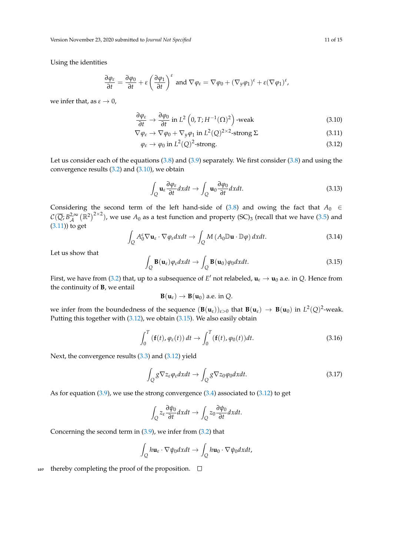Version November 23, 2020 submitted to *Journal Not Specified* 11 of 15

Using the identities

$$
\frac{\partial \varphi_{\varepsilon}}{\partial t} = \frac{\partial \varphi_0}{\partial t} + \varepsilon \left( \frac{\partial \varphi_1}{\partial t} \right)^{\varepsilon} \text{ and } \nabla \varphi_{\varepsilon} = \nabla \varphi_0 + (\nabla_y \varphi_1)^{\varepsilon} + \varepsilon (\nabla \varphi_1)^{\varepsilon},
$$

we infer that, as  $\varepsilon \to 0$ ,

$$
\frac{\partial \varphi_{\varepsilon}}{\partial t} \to \frac{\partial \varphi_0}{\partial t} \text{ in } L^2\left(0, T; H^{-1}(\Omega)^2\right) \text{-weak}
$$
 (3.10)

$$
\nabla \varphi_{\varepsilon} \to \nabla \varphi_0 + \nabla_y \varphi_1 \text{ in } L^2(Q)^{2 \times 2} \text{-strong } \Sigma
$$
 (3.11)

<span id="page-10-0"></span>
$$
\varphi_{\varepsilon} \to \varphi_0 \text{ in } L^2(Q)^2\text{-strong.} \tag{3.12}
$$

Let us consider each of the equations [\(3.8\)](#page-9-0) and [\(3.9\)](#page-9-1) separately. We first consider [\(3.8\)](#page-9-0) and using the convergence results [\(3.2\)](#page-9-2) and [\(3.10\)](#page-10-0), we obtain

<span id="page-10-2"></span><span id="page-10-1"></span>
$$
\int_{Q} \mathbf{u}_{\varepsilon} \frac{\partial \varphi_{\varepsilon}}{\partial t} dx dt \to \int_{Q} \mathbf{u}_{0} \frac{\partial \varphi_{0}}{\partial t} dx dt.
$$
\n(3.13)

Considering the second term of the left hand-side of [\(3.8\)](#page-9-0) and owing the fact that  $A_0 \in$  $\mathcal{C}(\overline{Q};B^{2,\infty}_{\mathcal{A}}\left(\mathbb{R}^2\right)^{2\times 2})$ , we use  $A_0$  as a test function and property (SC)<sub>3</sub> (recall that we have [\(3.5\)](#page-9-3) and [\(3.11\)](#page-10-1)) to get

$$
\int_{Q} A_0^{\varepsilon} \nabla \mathbf{u}_{\varepsilon} \cdot \nabla \varphi_{\varepsilon} dxdt \to \int_{Q} M (A_0 \mathbb{D} \mathbf{u} \cdot \mathbb{D} \varphi) dxdt.
$$
\n(3.14)

Let us show that

<span id="page-10-3"></span>
$$
\int_{Q} \mathbf{B}(\mathbf{u}_{\varepsilon}) \varphi_{\varepsilon} dxdt \to \int_{Q} \mathbf{B}(\mathbf{u}_{0}) \varphi_{0} dxdt.
$$
\n(3.15)

First, we have from [\(3.2\)](#page-9-2) that, up to a subsequence of  $E'$  not relabeled,  $\mathbf{u}_{\varepsilon} \to \mathbf{u}_0$  a.e. in Q. Hence from the continuity of **B**, we entail

$$
B(u_{\varepsilon}) \to B(u_0) \text{ a.e. in } Q.
$$

we infer from the boundedness of the sequence  $(\mathbf{B}(\mathbf{u}_{\varepsilon}))_{\varepsilon>0}$  that  $\mathbf{B}(\mathbf{u}_{\varepsilon}) \to \mathbf{B}(\mathbf{u}_0)$  in  $L^2(Q)^2$ -weak. Putting this together with [\(3.12\)](#page-10-2), we obtain [\(3.15\)](#page-10-3). We also easily obtain

$$
\int_0^T \left( \mathbf{f}(t), \varphi_{\varepsilon}(t) \right) dt \to \int_0^T \left( \mathbf{f}(t), \varphi_0(t) \right) dt. \tag{3.16}
$$

Next, the convergence results [\(3.3\)](#page-9-4) and [\(3.12\)](#page-10-2) yield

$$
\int_{Q} g \nabla z_{\varepsilon} \varphi_{\varepsilon} dxdt \to \int_{Q} g \nabla z_{0} \varphi_{0} dxdt.
$$
\n(3.17)

As for equation [\(3.9\)](#page-9-1), we use the strong convergence [\(3.4\)](#page-9-5) associated to [\(3.12\)](#page-10-2) to get

$$
\int_{Q} z_{\varepsilon} \frac{\partial \psi_{0}}{\partial t} dx dt \to \int_{Q} z_{0} \frac{\partial \psi_{0}}{\partial t} dx dt.
$$

Concerning the second term in [\(3.9\)](#page-9-1), we infer from [\(3.2\)](#page-9-2) that

$$
\int_{Q} h\mathbf{u}_{\varepsilon} \cdot \nabla \psi_0 dxdt \to \int_{Q} h\mathbf{u}_0 \cdot \nabla \psi_0 dxdt,
$$

 $_{107}$  thereby completing the proof of the proposition.  $\Box$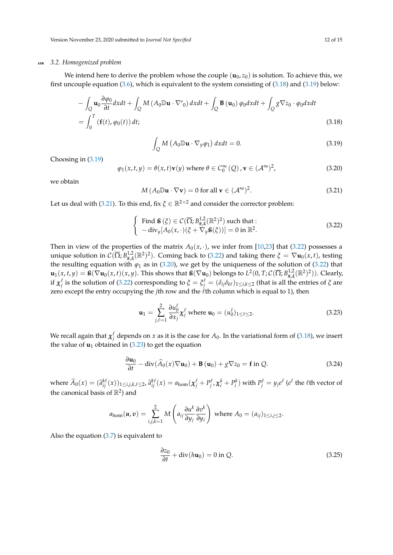# <sup>108</sup> *3.2. Homogenized problem*

We intend here to derive the problem whose the couple  $(\mathbf{u}_0, z_0)$  is solution. To achieve this, we first uncouple equation [\(3.6\)](#page-9-6), which is equivalent to the system consisting of [\(3.18\)](#page-11-0) and [\(3.19\)](#page-11-1) below:

$$
-\int_{Q} \mathbf{u}_{0} \frac{\partial \varphi_{0}}{\partial t} dx dt + \int_{Q} M (A_{0} \mathbb{D} \mathbf{u} \cdot \nabla'_{0}) dx dt + \int_{Q} \mathbf{B} (\mathbf{u}_{0}) \varphi_{0} dx dt + \int_{Q} g \nabla z_{0} \cdot \varphi_{0} dx dt
$$
  
= 
$$
\int_{0}^{T} (\mathbf{f}(t), \varphi_{0}(t)) dt;
$$
 (3.18)

<span id="page-11-1"></span><span id="page-11-0"></span>
$$
\int_{Q} M \left( A_0 \mathbb{D} \mathbf{u} \cdot \nabla_y \varphi_1 \right) dx dt = 0.
$$
\n(3.19)

Choosing in [\(3.19\)](#page-11-1)

<span id="page-11-4"></span>
$$
\varphi_1(x, t, y) = \theta(x, t)\mathbf{v}(y) \text{ where } \theta \in C_0^{\infty}(Q), \mathbf{v} \in (\mathcal{A}^{\infty})^2,
$$
\n(3.20)

we obtain

<span id="page-11-2"></span>
$$
M(A_0 \mathbb{D} \mathbf{u} \cdot \nabla \mathbf{v}) = 0 \text{ for all } \mathbf{v} \in (\mathcal{A}^{\infty})^2. \tag{3.21}
$$

Let us deal with [\(3.21\)](#page-11-2). To this end, fix  $\zeta \in \mathbb{R}^{2 \times 2}$  and consider the corrector problem:

<span id="page-11-3"></span>
$$
\begin{cases}\n\text{Find } \mathbf{B}(\xi) \in \mathcal{C}(\overline{\Omega}; B_{\# \mathcal{A}}^{1,2}(\mathbb{R}^2)^2) \text{ such that :} \\
-\text{div}_y[A_0(x, \cdot)(\xi + \nabla_y \mathbf{B}(\xi))] = 0 \text{ in } \mathbb{R}^2.\n\end{cases}
$$
\n(3.22)

Then in view of the properties of the matrix  $A_0(x, \cdot)$ , we infer from [\[10,](#page-13-12)[23\]](#page-13-13) that [\(3.22\)](#page-11-3) possesses a unique solution in  $C(\overline{\Omega}; B_{\# \mathcal{A}}^{1,2}(\mathbb{R}^2)^2)$ . Coming back to [\(3.22\)](#page-11-3) and taking there  $\xi = \nabla \mathbf{u}_0(x, t)$ , testing the resulting equation with  $\varphi_1$  as in [\(3.20\)](#page-11-4), we get by the uniqueness of the solution of [\(3.22\)](#page-11-3) that  $\mathbf{u}_1(x,t,y) = \mathbf{S}(\nabla \mathbf{u}_0(x,t)(x,y)$ . This shows that  $\mathbf{S}(\nabla \mathbf{u}_0)$  belongs to  $L^2(0,T;\mathcal{C}(\overline{\Omega};B_{\# \mathcal{A}}^{1,2}(\mathbb{R}^2)^2))$ . Clearly, if  $\chi_j^{\ell}$  is the solution of [\(3.22\)](#page-11-3) corresponding to  $\zeta = \xi_j^{\ell} = (\delta_{ij}\delta_{k\ell})_{1\leq i,k\leq 2}$  (that is all the entries of *ξ* are zero except the entry occupying the *j*th row and the  $\ell$ th column which is equal to 1), then

<span id="page-11-5"></span>
$$
\mathbf{u}_1 = \sum_{j,\ell=1}^2 \frac{\partial u_0^{\ell}}{\partial x_j} \mathbf{x}_j^{\ell} \text{ where } \mathbf{u}_0 = (u_0^{\ell})_{1 \leq \ell \leq 2}.
$$
 (3.23)

We recall again that  $\chi_j^\ell$  depends on  $x$  as it is the case for  $A_0$ . In the variational form of [\(3.18\)](#page-11-0), we insert the value of  $\mathbf{u}_1$  obtained in [\(3.23\)](#page-11-5) to get the equation

<span id="page-11-6"></span>
$$
\frac{\partial \mathbf{u}_0}{\partial t} - \text{div}(\widehat{A}_0(x)\nabla \mathbf{u}_0) + \mathbf{B}(\mathbf{u}_0) + g\nabla z_0 = \mathbf{f} \text{ in } Q. \tag{3.24}
$$

where  $\widehat{A}_0(x) = (\widehat{a}_{ij}^{k\ell}(x))_{1\leq i,j,k,\ell\leq 2}$ ,  $\widehat{a}_{ij}^{k\ell}(x) = a_{\text{hom}}(\chi_j^{\ell} + P_j^{\ell}, \chi_i^k + P_i^k)$  with  $P_j^{\ell} = y_j e^{\ell}$  ( $e^{\ell}$  the  $\ell$ th vector of the canonical basis of  $\mathbb{R}^2$ ) and

$$
a_{\text{hom}}(\boldsymbol{u},\boldsymbol{v})=\sum_{i,j,k=1}^2 M\left(a_{ij}\frac{\partial u^k}{\partial y_j}\frac{\partial v^k}{\partial y_i}\right) \text{ where } A_0=(a_{ij})_{1\leq i,j\leq 2}.
$$

Also the equation [\(3.7\)](#page-9-7) is equivalent to

<span id="page-11-7"></span>
$$
\frac{\partial z_0}{\partial t} + \text{div}(h\mathbf{u}_0) = 0 \text{ in } Q. \tag{3.25}
$$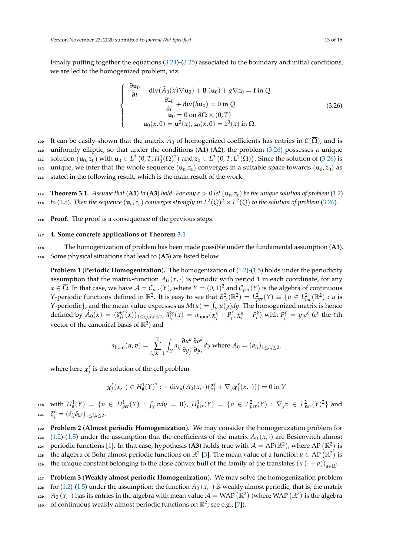Finally putting together the equations [\(3.24\)](#page-11-6)-[\(3.25\)](#page-11-7) associated to the boundary and initial conditions, we are led to the homogenized problem, viz.

<span id="page-12-0"></span>
$$
\begin{cases}\n\frac{\partial \mathbf{u}_0}{\partial t} - \operatorname{div}(\widehat{A}_0(x)\nabla \mathbf{u}_0) + \mathbf{B}(\mathbf{u}_0) + g\nabla z_0 = \mathbf{f} \text{ in } Q \\
\frac{\partial z_0}{\partial t} + \operatorname{div}(h\mathbf{u}_0) = 0 \text{ in } Q \\
\mathbf{u}_0 = 0 \text{ on } \partial\Omega \times (0, T) \\
\mathbf{u}_0(x, 0) = \mathbf{u}^0(x), z_0(x, 0) = z^0(x) \text{ in } \Omega.\n\end{cases}
$$
\n(3.26)

109 It can be easily shown that the matrix  $\widehat{A}_0$  of homogenized coefficients has entries in  $\mathcal{C}(\overline{\Omega})$ , and is <sup>110</sup> uniformly elliptic, so that under the conditions (**A1**)-(**A2**), the problem [\(3.26\)](#page-12-0) possesses a unique **50** solution  $(\mathbf{u}_0, z_0)$  with  $\mathbf{u}_0 \in L^2(0, T; H_0^1(\Omega)^2)$  and  $z_0 \in L^2(0, T; L^2(\Omega))$ . Since the solution of [\(3.26\)](#page-12-0) is unique, we infer that the whole sequence  $(\mathbf{u}_{\varepsilon}, z_{\varepsilon})$  converges in a suitable space towards  $(\mathbf{u}_0, z_0)$  as <sup>113</sup> stated in the following result, which is the main result of the work.

<span id="page-12-1"></span>**Theorem 3.1.** *Assume that* (**A1**) *to* (**A3**) *hold. For any*  $\varepsilon > 0$  *let* ( $\mathbf{u}_{\varepsilon}$ ,  $z_{\varepsilon}$ ) *be the unique solution of problem* [\(1.2\)](#page-1-0)  $_1$ **s** to [\(1.5\)](#page-1-1). Then the sequence  $(\mathbf{u}_{\varepsilon}, z_{\varepsilon})$  converges strongly in  $L^2(Q)^2 \times L^2(Q)$  to the solution of problem [\(3.26\)](#page-12-0).

**116 Proof.** The proof is a consequence of the previous steps.  $\Box$ 

# <sup>117</sup> **4. Some concrete applications of Theorem [3.1](#page-12-1)**

<sup>118</sup> The homogenization of problem has been made possible under the fundamental assumption (**A3**). <sup>119</sup> Some physical situations that lead to (**A3**) are listed below.

**Problem 1 (Periodic Homogenization).** The homogenization of [\(1.2\)](#page-1-0)-[\(1.5\)](#page-1-1) holds under the periodicity assumption that the matrix-function  $A_0(x, \cdot)$  is periodic with period 1 in each coordinate, for any  $x\in\overline{\Omega}.$  In that case, we have  $\mathcal{A}=\mathcal{C}_{per}(Y)$ , where  $Y=(0,1)^2$  and  $\mathcal{C}_{per}(Y)$  is the algebra of continuous *Y*-periodic functions defined in  $\mathbb{R}^2$ . It is easy to see that  $B^2_{\mathcal{A}}(\mathbb{R}^2) = L^2_{per}(Y) \equiv \{u \in L^2_{loc}(\mathbb{R}^2) : u \text{ is }$ *Y*-periodic}, and the mean value expresses as  $M(u) = \int_X u(y) dy$ . The homogenized matrix is hence defined by  $\widehat{A}_0(x) = (\widehat{a}_{ij}^{k\ell}(x))_{1 \le i,j,k,\ell \le 2}$ ,  $\widehat{a}_{ij}^{k\ell}(x) = a_{\text{hom}}(\chi_j^{\ell} + P_j^{\ell}, \chi_i^k + P_i^k)$  with  $P_j^{\ell} = y_j e^{\ell}$  (e<sup>e</sup> the *l*th vector of the canonical basis of  $\mathbb{R}^2$ ) and

$$
a_{\text{hom}}(u,v)=\sum_{i,j,k=1}^2\int_Y a_{ij}\frac{\partial u^k}{\partial y_j}\frac{\partial v^k}{\partial y_i}dy \text{ where } A_0=(a_{ij})_{1\leq i,j\leq 2}.
$$

where here  $\chi_j^\ell$  is the solution of the cell problem

$$
\chi_j^{\ell}(x,\cdot) \in H^1_{\#}(Y)^2: -\text{div}_y(A_0(x,\cdot)(\xi_j^{\ell} + \nabla_y \chi_j^{\ell}(x,\cdot))) = 0 \text{ in } Y
$$

120 with  $H^1_{\#}(Y) = \{v \in H^1_{per}(Y) : \int_Y v dy = 0\}$ ,  $H^1_{per}(Y) = \{v \in L^2_{per}(Y) : \nabla_y v \in L^2_{per}(Y)^2\}$  and *ι***21**  $\zeta_j^{\ell} = (\delta_{ij}\delta_{k\ell})_{1\leq i,k\leq 2}$ .

<sup>122</sup> **Problem 2** (**Almost periodic Homogenization**)**.** We may consider the homogenization problem for 123 [\(1.2\)](#page-1-0)-[\(1.5\)](#page-1-1) under the assumption that the coefficients of the matrix  $A_0(x, \cdot)$  are Besicovitch almost 124 periodic functions [\[1\]](#page-13-14). In that case, hypothesis (A3) holds true with  $A = AP(\mathbb{R}^2)$ , where AP  $(\mathbb{R}^2)$  is 125 the algebra of Bohr almost periodic functions on  $\mathbb{R}^2$  [\[3\]](#page-13-15). The mean value of a function  $u \in AP(\mathbb{R}^2)$  is the unique constant belonging to the close convex hull of the family of the translates  $(u(\cdot + a))_{a \in \mathbb{R}^2}$ .

<sup>127</sup> **Problem 3** (**Weakly almost periodic Homogenization**)**.** We may solve the homogenization problem 128 for [\(1.2\)](#page-1-0)-[\(1.5\)](#page-1-1) under the assumption: the function  $A_0(x, \cdot)$  is weakly almost periodic, that is, the matrix 129  $A_0(x, \cdot)$  has its entries in the algebra with mean value  $\mathcal{A} =$  WAP  $(\mathbb{R}^2)$  (where WAP  $(\mathbb{R}^2)$  is the algebra 130 of continuous weakly almost periodic functions on  $\mathbb{R}^2$ ; see e.g., [\[7\]](#page-13-16)).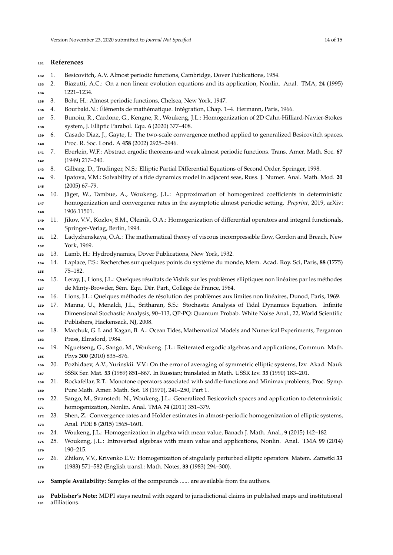# **References**

- <span id="page-13-14"></span>1. Besicovitch, A.V. Almost periodic functions, Cambridge, Dover Publications, 1954.
- 2. Biazutti, A.C.: On a non linear evolution equations and its application, Nonlin. Anal. TMA, **24** (1995) 1221–1234.
- <span id="page-13-15"></span>3. Bohr, H.: Almost periodic functions, Chelsea, New York, 1947.
- 4. Bourbaki.N.: Éléments de mathématique. Intégration, Chap. 1–4. Hermann, Paris, 1966.
- <span id="page-13-6"></span> 5. Bunoiu, R., Cardone, G., Kengne, R., Woukeng, J.L.: Homogenization of 2D Cahn-Hilliard-Navier-Stokes system, J. Elliptic Parabol. Equ. **6** (2020) 377–408.
- <span id="page-13-11"></span> 6. Casado Diaz, J., Gayte, I.: The two-scale convergence method applied to generalized Besicovitch spaces. Proc. R. Soc. Lond. A **458** (2002) 2925–2946.
- <span id="page-13-16"></span> 7. Eberlein, W.F.: Abstract ergodic theorems and weak almost periodic functions. Trans. Amer. Math. Soc. **67** (1949) 217–240.
- 8. Gilbarg, D., Trudinger, N.S.: Elliptic Partial Differential Equations of Second Order, Springer, 1998.
- <span id="page-13-3"></span> 9. Ipatova, V.M.: Solvability of a tide dynamics model in adjacent seas, Russ. J. Numer. Anal. Math. Mod. **20** (2005) 67–79.
- <span id="page-13-12"></span> 10. Jäger, W., Tambue, A., Woukeng, J.L.: Approximation of homogenized coefficients in deterministic homogenization and convergence rates in the asymptotic almost periodic setting. *Preprint*, 2019, arXiv: 1906.11501.
- 11. Jikov, V.V., Kozlov, S.M., Oleinik, O.A.: Homogenization of differential operators and integral functionals, Springer-Verlag, Berlin, 1994.
- 12. Ladyzhenskaya, O.A.: The mathematical theory of viscous incompressible flow, Gordon and Breach, New York, 1969.
- <span id="page-13-2"></span><span id="page-13-0"></span>13. Lamb, H.: Hydrodynamics, Dover Publications, New York, 1932.
- 14. Laplace, P.S.: Recherches sur quelques points du système du monde, Mem. Acad. Roy. Sci, Paris, **88** (1775) 75–182.
- 15. Leray, J., Lions, J.L.: Quelques résultats de Vishik sur les problèmes elliptiques non linéaires par les méthodes de Minty-Browder, Sém. Equ. Dér. Part., Collège de France, 1964.
- 16. Lions, J.L.: Quelques méthodes de résolution des problèmes aux limites non linéaires, Dunod, Paris, 1969.
- <span id="page-13-4"></span> 17. Manna, U., Menaldi, J.L., Sritharan, S.S.: Stochastic Analysis of Tidal Dynamics Equation. Infinite Dimensional Stochastic Analysis, 90–113, QP-PQ: Quantum Probab. White Noise Anal., 22, World Scientific Publishers, Hackensack, NJ, 2008.
- <span id="page-13-1"></span> 18. Marchuk, G. I. and Kagan, B. A.: Ocean Tides, Mathematical Models and Numerical Experiments, Pergamon Press, Elmsford, 1984.
- <span id="page-13-10"></span> 19. Nguetseng, G., Sango, M., Woukeng. J.L.: Reiterated ergodic algebras and applications, Commun. Math. Phys **300** (2010) 835–876.
- 20. Pozhidaev, A.V., Yurinskii. V.V.: On the error of averaging of symmetric elliptic systems, Izv. Akad. Nauk SSSR Ser. Mat. **53** (1989) 851–867. In Russian; translated in Math. USSR Izv. **35** (1990) 183–201.
- 21. Rockafellar, R.T.: Monotone operators associated with saddle-functions and Minimax problems, Proc. Symp. Pure Math. Amer. Math. Sot. 18 (1970), 241–250, Part 1.
- <span id="page-13-5"></span> 22. Sango, M., Svanstedt. N., Woukeng, J.L.: Generalized Besicovitch spaces and application to deterministic homogenization, Nonlin. Anal. TMA **74** (2011) 351–379.
- <span id="page-13-13"></span> 23. Shen, Z.: Convergence rates and Hölder estimates in almost-periodic homogenization of elliptic systems, Anal. PDE **8** (2015) 1565–1601.
- <span id="page-13-7"></span>24. Woukeng, J.L.: Homogenization in algebra with mean value, Banach J. Math. Anal., **9** (2015) 142–182
- <span id="page-13-9"></span> 25. Woukeng, J.L.: Introverted algebras with mean value and applications, Nonlin. Anal. TMA **99** (2014) 190–215.
- <span id="page-13-8"></span> 26. Zhikov, V.V., Krivenko E.V.: Homogenization of singularly perturbed elliptic operators. Matem. Zametki **33** (1983) 571–582 (English transl.: Math. Notes, **33** (1983) 294–300).
- **Sample Availability:** Samples of the compounds ...... are available from the authors.
- **Publisher's Note:** MDPI stays neutral with regard to jurisdictional claims in published maps and institutional affiliations.